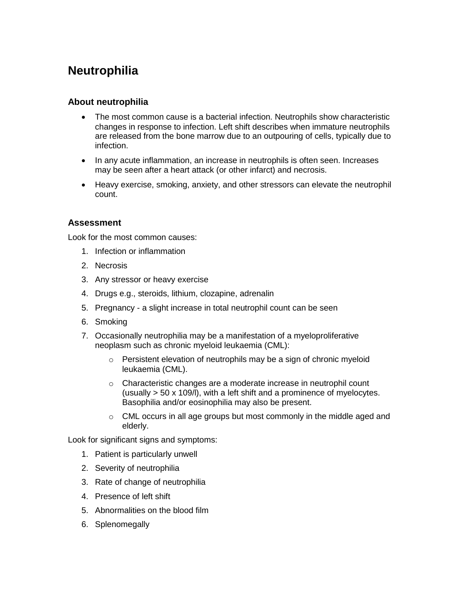# **Neutrophilia**

## **About neutrophilia**

- The most common cause is a bacterial infection. Neutrophils show characteristic changes in response to infection. Left shift describes when immature neutrophils are released from the bone marrow due to an outpouring of cells, typically due to infection.
- In any acute inflammation, an increase in neutrophils is often seen. Increases may be seen after a heart attack (or other infarct) and necrosis.
- Heavy exercise, smoking, anxiety, and other stressors can elevate the neutrophil count.

## **Assessment**

Look for the most common causes:

- 1. Infection or inflammation
- 2. Necrosis
- 3. Any stressor or heavy exercise
- 4. Drugs e.g., steroids, lithium, clozapine, adrenalin
- 5. Pregnancy a slight increase in total neutrophil count can be seen
- 6. Smoking
- 7. Occasionally neutrophilia may be a manifestation of a myeloproliferative neoplasm such as chronic myeloid leukaemia (CML):
	- o Persistent elevation of neutrophils may be a sign of chronic myeloid leukaemia (CML).
	- o Characteristic changes are a moderate increase in neutrophil count (usually > 50 x 109/l), with a left shift and a prominence of myelocytes. Basophilia and/or eosinophilia may also be present.
	- $\circ$  CML occurs in all age groups but most commonly in the middle aged and elderly.

Look for significant signs and symptoms:

- 1. Patient is particularly unwell
- 2. Severity of neutrophilia
- 3. Rate of change of neutrophilia
- 4. Presence of left shift
- 5. Abnormalities on the blood film
- 6. Splenomegally